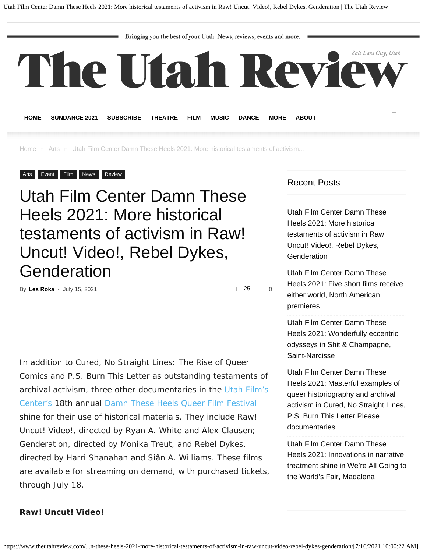Bringing you the best of your Utah. News, reviews, events and more.

<span id="page-0-0"></span>

**[HOME](https://www.theutahreview.com/) [SUNDANCE 2021](https://www.theutahreview.com/tag/sundance-2021/) [SUBSCRIBE](http://eepurl.com/VXgTT) [THEATRE](https://www.theutahreview.com/category/arts/theatre/) [FILM](https://www.theutahreview.com/category/arts/film/) [MUSIC](https://www.theutahreview.com/category/arts/music-arts/) [DANCE](https://www.theutahreview.com/category/arts/dance/) [MORE](https://www.theutahreview.com/category/review/) [ABOUT](https://www.theutahreview.com/about/)**

[Home](https://www.theutahreview.com/) 
a [Arts](https://www.theutahreview.com/category/arts/) 
a Utah Film Center Damn These Heels 2021: More historical testaments of activism...

#### [Arts](https://www.theutahreview.com/category/arts/) [Event](https://www.theutahreview.com/category/event/) [Film](https://www.theutahreview.com/category/arts/film/) [News](https://www.theutahreview.com/category/news/) [Review](https://www.theutahreview.com/category/review/)

# Utah Film Center Damn These Heels 2021: More historical testaments of activism in Raw! Uncut! Video!, Rebel Dykes, Genderation

By **[Les Roka](https://www.theutahreview.com/author/les/)** - July 15, 2021 [0](#page-10-0)

 $\Box$  25

In addition to *Cured, No Straight Lines: The Rise of Queer Comics* and *P.S. Burn This Letter* as outstanding testaments of archival activism, three other documentaries in the [Utah Film's](https://www.utahfilmcenter.org/) [Center's](https://www.utahfilmcenter.org/) 18th annual [Damn These Heels Queer Film Festival](https://damntheseheels.org/) shine for their use of historical materials. They include *Raw! Uncut! Video!*, directed by Ryan A. White and Alex Clausen; *Genderation*, directed by Monika Treut, and *Rebel Dykes*, directed by Harri Shanahan and Siân A. Williams. These films are available for streaming on demand, with purchased tickets, through July 18.

#### Recent Posts

[Utah Film Center Damn These](#page-0-0) [Heels 2021: More historical](#page-0-0) [testaments of activism in Raw!](#page-0-0) [Uncut! Video!, Rebel Dykes,](#page-0-0) **[Genderation](#page-0-0)** 

[Utah Film Center Damn These](https://www.theutahreview.com/utah-film-center-damn-these-heels-2021-five-short-films-receive-either-world-north-american-premieres/) [Heels 2021: Five short films receive](https://www.theutahreview.com/utah-film-center-damn-these-heels-2021-five-short-films-receive-either-world-north-american-premieres/) [either world, North American](https://www.theutahreview.com/utah-film-center-damn-these-heels-2021-five-short-films-receive-either-world-north-american-premieres/) [premieres](https://www.theutahreview.com/utah-film-center-damn-these-heels-2021-five-short-films-receive-either-world-north-american-premieres/)

[Utah Film Center Damn These](https://www.theutahreview.com/utah-film-center-damn-these-heels-2021-wonderfully-eccentric-odysseys-in-shit-champagne-saint-narcisse/) [Heels 2021: Wonderfully eccentric](https://www.theutahreview.com/utah-film-center-damn-these-heels-2021-wonderfully-eccentric-odysseys-in-shit-champagne-saint-narcisse/) [odysseys in Shit & Champagne,](https://www.theutahreview.com/utah-film-center-damn-these-heels-2021-wonderfully-eccentric-odysseys-in-shit-champagne-saint-narcisse/) [Saint-Narcisse](https://www.theutahreview.com/utah-film-center-damn-these-heels-2021-wonderfully-eccentric-odysseys-in-shit-champagne-saint-narcisse/)

[Utah Film Center Damn These](https://www.theutahreview.com/utah-film-center-damn-these-heels-2021-masterful-examples-of-queer-historiography-and-archival-activism-in-cured-no-straight-lines-p-s-burn-this-letter-please-documentaries/) [Heels 2021: Masterful examples of](https://www.theutahreview.com/utah-film-center-damn-these-heels-2021-masterful-examples-of-queer-historiography-and-archival-activism-in-cured-no-straight-lines-p-s-burn-this-letter-please-documentaries/) [queer historiography and archival](https://www.theutahreview.com/utah-film-center-damn-these-heels-2021-masterful-examples-of-queer-historiography-and-archival-activism-in-cured-no-straight-lines-p-s-burn-this-letter-please-documentaries/) [activism in Cured, No Straight Lines,](https://www.theutahreview.com/utah-film-center-damn-these-heels-2021-masterful-examples-of-queer-historiography-and-archival-activism-in-cured-no-straight-lines-p-s-burn-this-letter-please-documentaries/) [P.S. Burn This Letter Please](https://www.theutahreview.com/utah-film-center-damn-these-heels-2021-masterful-examples-of-queer-historiography-and-archival-activism-in-cured-no-straight-lines-p-s-burn-this-letter-please-documentaries/) [documentaries](https://www.theutahreview.com/utah-film-center-damn-these-heels-2021-masterful-examples-of-queer-historiography-and-archival-activism-in-cured-no-straight-lines-p-s-burn-this-letter-please-documentaries/)

[Utah Film Center Damn These](https://www.theutahreview.com/utah-film-center-damn-these-heels-2021-innovations-in-narrative-treatment-shine-in-were-all-going-to-the-worlds-fair-madalena/) [Heels 2021: Innovations in narrative](https://www.theutahreview.com/utah-film-center-damn-these-heels-2021-innovations-in-narrative-treatment-shine-in-were-all-going-to-the-worlds-fair-madalena/) [treatment shine in We're All Going to](https://www.theutahreview.com/utah-film-center-damn-these-heels-2021-innovations-in-narrative-treatment-shine-in-were-all-going-to-the-worlds-fair-madalena/) [the World's Fair, Madalena](https://www.theutahreview.com/utah-film-center-damn-these-heels-2021-innovations-in-narrative-treatment-shine-in-were-all-going-to-the-worlds-fair-madalena/)

#### **Raw! Uncut! Video!**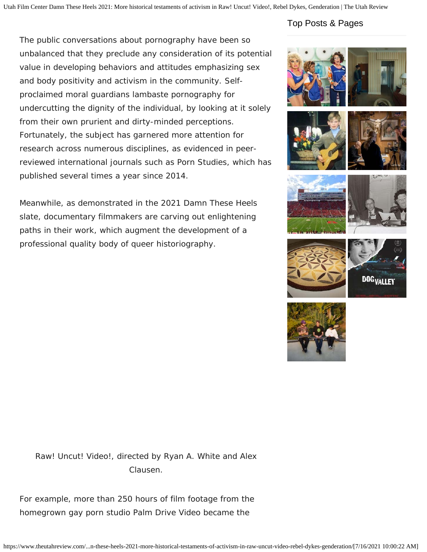The public conversations about pornography have been so unbalanced that they preclude any consideration of its potential value in developing behaviors and attitudes emphasizing sex and body positivity and activism in the community. Selfproclaimed moral guardians lambaste pornography for undercutting the dignity of the individual, by looking at it solely from their own prurient and dirty-minded perceptions. Fortunately, the subject has garnered more attention for research across numerous disciplines, as evidenced in peerreviewed international journals such as *Porn Studies*, which has published several times a year since 2014.

Meanwhile, as demonstrated in the 2021 Damn These Heels slate, documentary filmmakers are carving out enlightening paths in their work, which augment the development of a professional quality body of queer historiography.

## Top Posts & Pages





Raw! Uncut! Video!, directed by Ryan A. White and Alex Clausen.

For example, more than 250 hours of film footage from the homegrown gay porn studio Palm Drive Video became the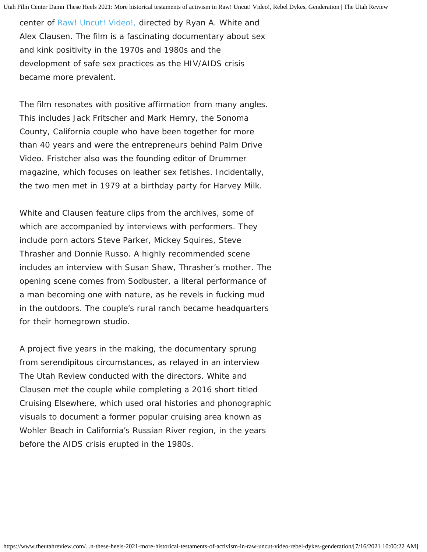center of *[Raw! Uncut! Video!](https://www.rawuncutvideo.com/)*[,](https://www.rawuncutvideo.com/) directed by Ryan A. White and Alex Clausen. The film is a fascinating documentary about sex and kink positivity in the 1970s and 1980s and the development of safe sex practices as the HIV/AIDS crisis became more prevalent.

The film resonates with positive affirmation from many angles. This includes Jack Fritscher and Mark Hemry, the Sonoma County, California couple who have been together for more than 40 years and were the entrepreneurs behind Palm Drive Video. Fristcher also was the founding editor of *Drummer* magazine, which focuses on leather sex fetishes. Incidentally, the two men met in 1979 at a birthday party for Harvey Milk.

White and Clausen feature clips from the archives, some of which are accompanied by interviews with performers. They include porn actors Steve Parker, Mickey Squires, Steve Thrasher and Donnie Russo. A highly recommended scene includes an interview with Susan Shaw, Thrasher's mother. The opening scene comes from *Sodbuster*, a literal performance of a man becoming one with nature, as he revels in fucking mud in the outdoors. The couple's rural ranch became headquarters for their homegrown studio.

A project five years in the making, the documentary sprung from serendipitous circumstances, as relayed in an interview The Utah Review conducted with the directors. White and Clausen met the couple while completing a 2016 short titled *Cruising Elsewhere*, which used oral histories and phonographic visuals to document a former popular cruising area known as Wohler Beach in California's Russian River region, in the years before the AIDS crisis erupted in the 1980s.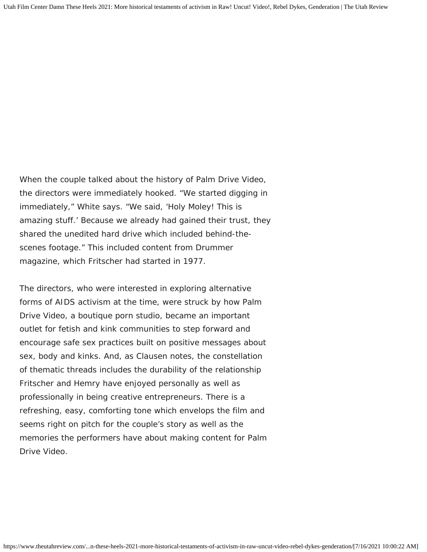When the couple talked about the history of Palm Drive Video, the directors were immediately hooked. "We started digging in immediately," White says. "We said, 'Holy Moley! This is amazing stuff.' Because we already had gained their trust, they shared the unedited hard drive which included behind-thescenes footage." This included content from *Drummer* magazine, which Fritscher had started in 1977.

The directors, who were interested in exploring alternative forms of AIDS activism at the time, were struck by how Palm Drive Video, a boutique porn studio, became an important outlet for fetish and kink communities to step forward and encourage safe sex practices built on positive messages about sex, body and kinks. And, as Clausen notes, the constellation of thematic threads includes the durability of the relationship Fritscher and Hemry have enjoyed personally as well as professionally in being creative entrepreneurs. There is a refreshing, easy, comforting tone which envelops the film and seems right on pitch for the couple's story as well as the memories the performers have about making content for Palm Drive Video.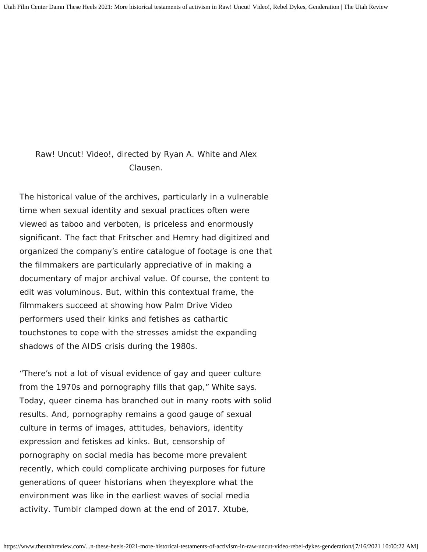Raw! Uncut! Video!, directed by Ryan A. White and Alex Clausen.

The historical value of the archives, particularly in a vulnerable time when sexual identity and sexual practices often were viewed as taboo and verboten, is priceless and enormously significant. The fact that Fritscher and Hemry had digitized and organized the company's entire catalogue of footage is one that the filmmakers are particularly appreciative of in making a documentary of major archival value. Of course, the content to edit was voluminous. But, within this contextual frame, the filmmakers succeed at showing how Palm Drive Video performers used their kinks and fetishes as cathartic touchstones to cope with the stresses amidst the expanding shadows of the AIDS crisis during the 1980s.

"There's not a lot of visual evidence of gay and queer culture from the 1970s and pornography fills that gap," White says. Today, queer cinema has branched out in many roots with solid results. And, pornography remains a good gauge of sexual culture in terms of images, attitudes, behaviors, identity expression and fetiskes ad kinks. But, censorship of pornography on social media has become more prevalent recently, which could complicate archiving purposes for future generations of queer historians when theyexplore what the environment was like in the earliest waves of social media activity. Tumblr clamped down at the end of 2017. Xtube,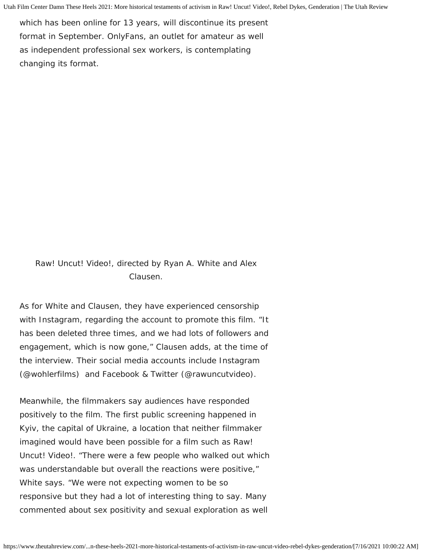which has been online for 13 years, will discontinue its present format in September. OnlyFans, an outlet for amateur as well as independent professional sex workers, is contemplating changing its format.

Raw! Uncut! Video!, directed by Ryan A. White and Alex Clausen.

As for White and Clausen, they have experienced censorship with Instagram, regarding the account to promote this film. "It has been deleted three times, and we had lots of followers and engagement, which is now gone," Clausen adds, at the time of the interview. Their social media accounts include Instagram (@wohlerfilms) and Facebook & Twitter (@rawuncutvideo).

Meanwhile, the filmmakers say audiences have responded positively to the film. The first public screening happened in Kyiv, the capital of Ukraine, a location that neither filmmaker imagined would have been possible for a film such as *Raw! Uncut! Video!*. "There were a few people who walked out which was understandable but overall the reactions were positive," White says. "We were not expecting women to be so responsive but they had a lot of interesting thing to say. Many commented about sex positivity and sexual exploration as well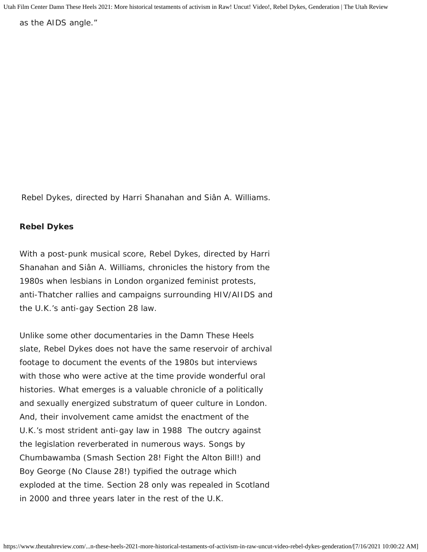as the AIDS angle."

Rebel Dykes, directed by Harri Shanahan and Siân A. Williams.

### **Rebel Dykes**

With a post-punk musical score, *Rebel Dykes*, directed by Harri Shanahan and Siân A. Williams, chronicles the history from the 1980s when lesbians in London organized feminist protests, anti-Thatcher rallies and campaigns surrounding HIV/AIIDS and the U.K.'s anti-gay Section 28 law.

Unlike some other documentaries in the Damn These Heels slate, Rebel Dykes does not have the same reservoir of archival footage to document the events of the 1980s but interviews with those who were active at the time provide wonderful oral histories. What emerges is a valuable chronicle of a politically and sexually energized substratum of queer culture in London. And, their involvement came amidst the enactment of the U.K.'s most strident anti-gay law in 1988 The outcry against the legislation reverberated in numerous ways. Songs by Chumbawamba (*Smash Section 28! Fight the Alton Bill!*) and Boy George (*No Clause 28!*) typified the outrage which exploded at the time. Section 28 only was repealed in Scotland in 2000 and three years later in the rest of the U.K.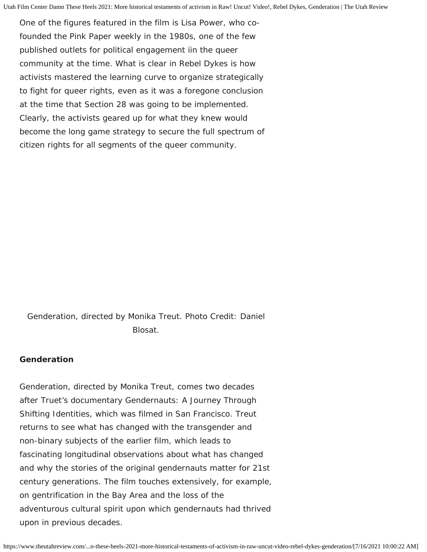One of the figures featured in the film is Lisa Power, who cofounded the *Pink Paper* weekly in the 1980s, one of the few published outlets for political engagement iin the queer community at the time. What is clear in *Rebel Dykes* is how activists mastered the learning curve to organize strategically to fight for queer rights, even as it was a foregone conclusion at the time that Section 28 was going to be implemented. Clearly, the activists geared up for what they knew would become the long game strategy to secure the full spectrum of citizen rights for all segments of the queer community.

Genderation, directed by Monika Treut. Photo Credit: Daniel Blosat.

#### **Genderation**

*Genderation*, directed by Monika Treut, comes two decades after Truet's documentary *Gendernauts: A Journey Through Shifting Identities,* which was filmed in San Francisco. Treut returns to see what has changed with the transgender and non-binary subjects of the earlier film, which leads to fascinating longitudinal observations about what has changed and why the stories of the original gendernauts matter for 21st century generations. The film touches extensively, for example, on gentrification in the Bay Area and the loss of the adventurous cultural spirit upon which gendernauts had thrived upon in previous decades.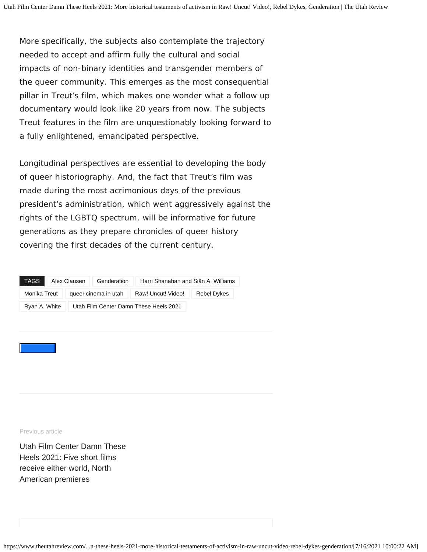More specifically, the subjects also contemplate the trajectory needed to accept and affirm fully the cultural and social impacts of non-binary identities and transgender members of the queer community. This emerges as the most consequential pillar in Treut's film, which makes one wonder what a follow up documentary would look like 20 years from now. The subjects Treut features in the film are unquestionably looking forward to a fully enlightened, emancipated perspective.

Longitudinal perspectives are essential to developing the body of queer historiography. And, the fact that Treut's film was made during the most acrimonious days of the previous president's administration, which went aggressively against the rights of the LGBTQ spectrum, will be informative for future generations as they prepare chronicles of queer history covering the first decades of the current century.

| TAGS          | Alex Clausen                           | Genderation          | Harri Shanahan and Siân A. Williams |             |
|---------------|----------------------------------------|----------------------|-------------------------------------|-------------|
| Monika Treut  |                                        | queer cinema in utah | Raw! Uncut! Video!                  | Rebel Dykes |
| Ryan A. White | Utah Film Center Damn These Heels 2021 |                      |                                     |             |

Previous article

[Utah Film Center Damn These](https://www.theutahreview.com/utah-film-center-damn-these-heels-2021-five-short-films-receive-either-world-north-american-premieres/) [Heels 2021: Five short films](https://www.theutahreview.com/utah-film-center-damn-these-heels-2021-five-short-films-receive-either-world-north-american-premieres/) [receive either world, North](https://www.theutahreview.com/utah-film-center-damn-these-heels-2021-five-short-films-receive-either-world-north-american-premieres/) [American premieres](https://www.theutahreview.com/utah-film-center-damn-these-heels-2021-five-short-films-receive-either-world-north-american-premieres/)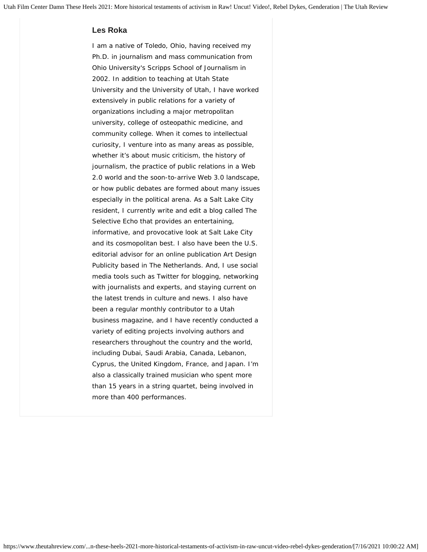#### **[Les Roka](https://www.theutahreview.com/author/les/)**

I am a native of Toledo, Ohio, having received my Ph.D. in journalism and mass communication from Ohio University's Scripps School of Journalism in 2002. In addition to teaching at Utah State University and the University of Utah, I have worked extensively in public relations for a variety of organizations including a major metropolitan university, college of osteopathic medicine, and community college. When it comes to intellectual curiosity, I venture into as many areas as possible, whether it's about music criticism, the history of journalism, the practice of public relations in a Web 2.0 world and the soon-to-arrive Web 3.0 landscape, or how public debates are formed about many issues especially in the political arena. As a Salt Lake City resident, I currently write and edit a blog called The Selective Echo that provides an entertaining, informative, and provocative look at Salt Lake City and its cosmopolitan best. I also have been the U.S. editorial advisor for an online publication Art Design Publicity based in The Netherlands. And, I use social media tools such as Twitter for blogging, networking with journalists and experts, and staying current on the latest trends in culture and news. I also have been a regular monthly contributor to a Utah business magazine, and I have recently conducted a variety of editing projects involving authors and researchers throughout the country and the world, including Dubai, Saudi Arabia, Canada, Lebanon, Cyprus, the United Kingdom, France, and Japan. I'm also a classically trained musician who spent more than 15 years in a string quartet, being involved in more than 400 performances.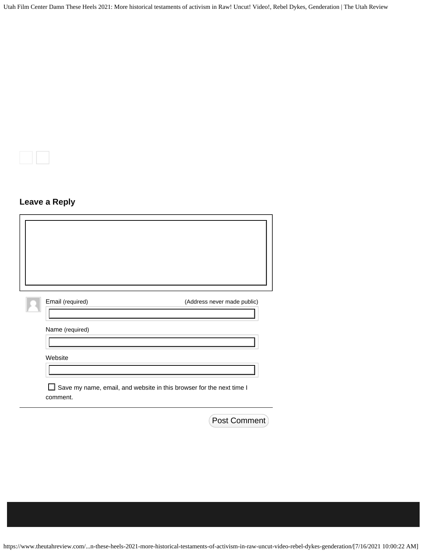# **Leave a Reply**

<span id="page-10-0"></span>

| Email (required)                                                                      | (Address never made public) |
|---------------------------------------------------------------------------------------|-----------------------------|
| Name (required)                                                                       |                             |
| Website                                                                               |                             |
| Save my name, email, and website in this browser for the next time I<br>ப<br>comment. |                             |

Post Comment